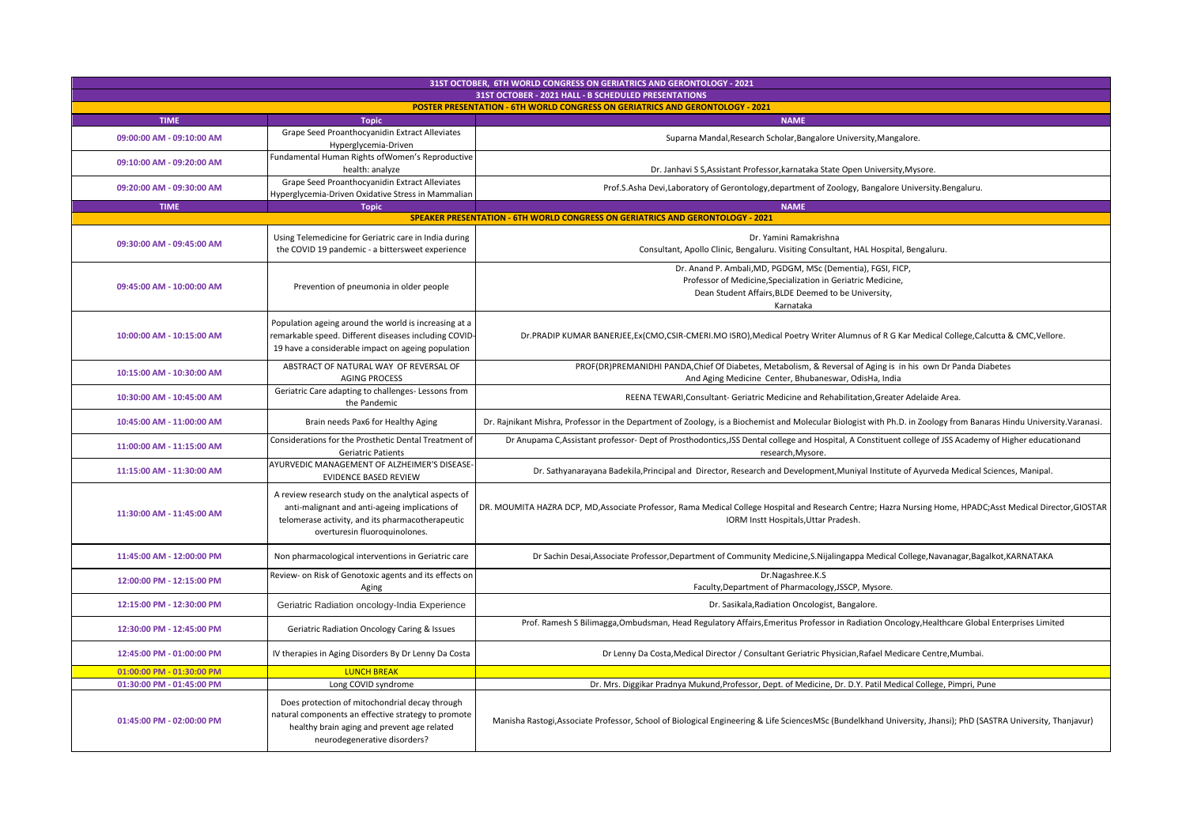| 31ST OCTOBER, 6TH WORLD CONGRESS ON GERIATRICS AND GERONTOLOGY - 2021<br>31ST OCTOBER - 2021 HALL - B SCHEDULED PRESENTATIONS |                                                                                                                                                                                             |                                                                                                                                                                                                      |  |
|-------------------------------------------------------------------------------------------------------------------------------|---------------------------------------------------------------------------------------------------------------------------------------------------------------------------------------------|------------------------------------------------------------------------------------------------------------------------------------------------------------------------------------------------------|--|
| <b>POSTER PRESENTATION - 6TH WORLD CONGRESS ON GERIATRICS AND GERONTOLOGY - 2021</b>                                          |                                                                                                                                                                                             |                                                                                                                                                                                                      |  |
| <b>TIME</b>                                                                                                                   | <b>Topic</b>                                                                                                                                                                                | <b>NAME</b>                                                                                                                                                                                          |  |
| 09:00:00 AM - 09:10:00 AM                                                                                                     | Grape Seed Proanthocyanidin Extract Alleviates<br>Hyperglycemia-Driven                                                                                                                      | Suparna Mandal, Research Scholar, Bangalore University, Mangalore.                                                                                                                                   |  |
| 09:10:00 AM - 09:20:00 AM                                                                                                     | Fundamental Human Rights of Women's Reproductive<br>health: analyze                                                                                                                         | Dr. Janhavi S S, Assistant Professor, karnataka State Open University, Mysore.                                                                                                                       |  |
| 09:20:00 AM - 09:30:00 AM                                                                                                     | Grape Seed Proanthocyanidin Extract Alleviates<br>Hyperglycemia-Driven Oxidative Stress in Mammalian                                                                                        | Prof.S.Asha Devi,Laboratory of Gerontology,department of Zoology, Bangalore University.Bengaluru.                                                                                                    |  |
| <b>TIME</b>                                                                                                                   | <b>Topic</b>                                                                                                                                                                                | <b>NAME</b>                                                                                                                                                                                          |  |
| SPEAKER PRESENTATION - 6TH WORLD CONGRESS ON GERIATRICS AND GERONTOLOGY - 2021                                                |                                                                                                                                                                                             |                                                                                                                                                                                                      |  |
| 09:30:00 AM - 09:45:00 AM                                                                                                     | Using Telemedicine for Geriatric care in India during<br>the COVID 19 pandemic - a bittersweet experience                                                                                   | Dr. Yamini Ramakrishna<br>Consultant, Apollo Clinic, Bengaluru. Visiting Consultant, HAL Hospital, Bengaluru.                                                                                        |  |
| 09:45:00 AM - 10:00:00 AM                                                                                                     | Prevention of pneumonia in older people                                                                                                                                                     | Dr. Anand P. Ambali, MD, PGDGM, MSc (Dementia), FGSI, FICP,<br>Professor of Medicine, Specialization in Geriatric Medicine,<br>Dean Student Affairs, BLDE Deemed to be University,<br>Karnataka      |  |
| 10:00:00 AM - 10:15:00 AM                                                                                                     | Population ageing around the world is increasing at a<br>remarkable speed. Different diseases including COVID<br>19 have a considerable impact on ageing population                         | Dr.PRADIP KUMAR BANERJEE, Ex(CMO, CSIR-CMERI.MO ISRO), Medical Poetry Writer Alumnus of R G Kar Medical College, Calcutta & CMC, Vellore.                                                            |  |
| 10:15:00 AM - 10:30:00 AM                                                                                                     | ABSTRACT OF NATURAL WAY OF REVERSAL OF<br><b>AGING PROCESS</b>                                                                                                                              | PROF(DR)PREMANIDHI PANDA, Chief Of Diabetes, Metabolism, & Reversal of Aging is in his own Dr Panda Diabetes<br>And Aging Medicine Center, Bhubaneswar, OdisHa, India                                |  |
| 10:30:00 AM - 10:45:00 AM                                                                                                     | Geriatric Care adapting to challenges- Lessons from<br>the Pandemic                                                                                                                         | REENA TEWARI, Consultant- Geriatric Medicine and Rehabilitation, Greater Adelaide Area.                                                                                                              |  |
| 10:45:00 AM - 11:00:00 AM                                                                                                     | Brain needs Pax6 for Healthy Aging                                                                                                                                                          | Dr. Rajnikant Mishra, Professor in the Department of Zoology, is a Biochemist and Molecular Biologist with Ph.D. in Zoology from Banaras Hindu University. Varanasi.                                 |  |
| 11:00:00 AM - 11:15:00 AM                                                                                                     | Considerations for the Prosthetic Dental Treatment of<br><b>Geriatric Patients</b>                                                                                                          | Dr Anupama C, Assistant professor- Dept of Prosthodontics, JSS Dental college and Hospital, A Constituent college of JSS Academy of Higher educationand<br>research, Mysore.                         |  |
| 11:15:00 AM - 11:30:00 AM                                                                                                     | AYURVEDIC MANAGEMENT OF ALZHEIMER'S DISEASE<br><b>EVIDENCE BASED REVIEW</b>                                                                                                                 | Dr. Sathyanarayana Badekila, Principal and Director, Research and Development, Muniyal Institute of Ayurveda Medical Sciences, Manipal.                                                              |  |
| 11:30:00 AM - 11:45:00 AM                                                                                                     | A review research study on the analytical aspects of<br>anti-malignant and anti-ageing implications of<br>telomerase activity, and its pharmacotherapeutic<br>overturesin fluoroquinolones. | DR. MOUMITA HAZRA DCP, MD, Associate Professor, Rama Medical College Hospital and Research Centre; Hazra Nursing Home, HPADC; Asst Medical Director, GIOSTAR<br>IORM Instt Hospitals, Uttar Pradesh. |  |
| 11:45:00 AM - 12:00:00 PM                                                                                                     | Non pharmacological interventions in Geriatric care                                                                                                                                         | Dr Sachin Desai, Associate Professor, Department of Community Medicine, S. Nijalingappa Medical College, Navanagar, Bagalkot, KARNATAKA                                                              |  |
| 12:00:00 PM - 12:15:00 PM                                                                                                     | Review- on Risk of Genotoxic agents and its effects on<br>Aging                                                                                                                             | Dr.Nagashree.K.S<br>Faculty, Department of Pharmacology, JSSCP, Mysore.                                                                                                                              |  |
| 12:15:00 PM - 12:30:00 PM                                                                                                     | Geriatric Radiation oncology-India Experience                                                                                                                                               | Dr. Sasikala, Radiation Oncologist, Bangalore.                                                                                                                                                       |  |
| 12:30:00 PM - 12:45:00 PM                                                                                                     | Geriatric Radiation Oncology Caring & Issues                                                                                                                                                | Prof. Ramesh S Bilimagga, Ombudsman, Head Regulatory Affairs, Emeritus Professor in Radiation Oncology, Healthcare Global Enterprises Limited                                                        |  |
| 12:45:00 PM - 01:00:00 PM                                                                                                     | IV therapies in Aging Disorders By Dr Lenny Da Costa                                                                                                                                        | Dr Lenny Da Costa, Medical Director / Consultant Geriatric Physician, Rafael Medicare Centre, Mumbai.                                                                                                |  |
| 01:00:00 PM - 01:30:00 PM                                                                                                     | <b>LUNCH BREAK</b>                                                                                                                                                                          |                                                                                                                                                                                                      |  |
| 01:30:00 PM - 01:45:00 PM                                                                                                     | Long COVID syndrome                                                                                                                                                                         | Dr. Mrs. Diggikar Pradnya Mukund, Professor, Dept. of Medicine, Dr. D.Y. Patil Medical College, Pimpri, Pune                                                                                         |  |
| 01:45:00 PM - 02:00:00 PM                                                                                                     | Does protection of mitochondrial decay through<br>natural components an effective strategy to promote<br>healthy brain aging and prevent age related<br>neurodegenerative disorders?        | Manisha Rastogi, Associate Professor, School of Biological Engineering & Life SciencesMSc (Bundelkhand University, Jhansi); PhD (SASTRA University, Thanjavur)                                       |  |